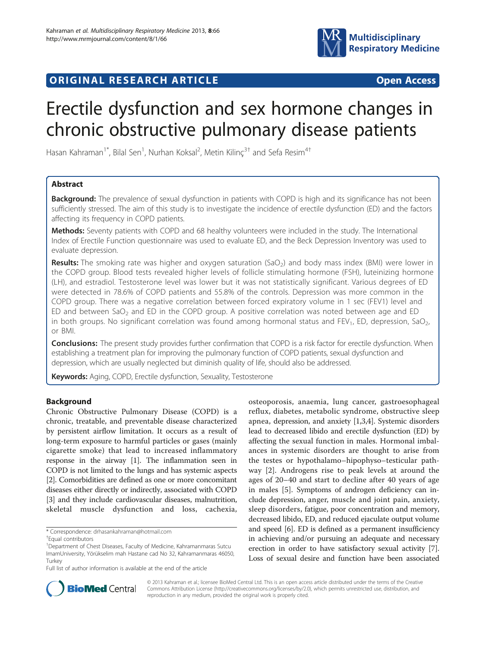

# **ORIGINAL RESEARCH ARTICLE CONSUMING ACCESS**

# Erectile dysfunction and sex hormone changes in chronic obstructive pulmonary disease patients

Hasan Kahraman<sup>1\*</sup>, Bilal Sen<sup>1</sup>, Nurhan Koksal<sup>2</sup>, Metin Kilinç<sup>3†</sup> and Sefa Resim<sup>4†</sup>

# Abstract

Background: The prevalence of sexual dysfunction in patients with COPD is high and its significance has not been sufficiently stressed. The aim of this study is to investigate the incidence of erectile dysfunction (ED) and the factors affecting its frequency in COPD patients.

**Methods:** Seventy patients with COPD and 68 healthy volunteers were included in the study. The International Index of Erectile Function questionnaire was used to evaluate ED, and the Beck Depression Inventory was used to evaluate depression.

**Results:** The smoking rate was higher and oxygen saturation (SaO<sub>2</sub>) and body mass index (BMI) were lower in the COPD group. Blood tests revealed higher levels of follicle stimulating hormone (FSH), luteinizing hormone (LH), and estradiol. Testosterone level was lower but it was not statistically significant. Various degrees of ED were detected in 78.6% of COPD patients and 55.8% of the controls. Depression was more common in the COPD group. There was a negative correlation between forced expiratory volume in 1 sec (FEV1) level and ED and between SaO<sub>2</sub> and ED in the COPD group. A positive correlation was noted between age and ED in both groups. No significant correlation was found among hormonal status and FEV<sub>1</sub>, ED, depression, SaO<sub>2</sub>, or BMI.

Conclusions: The present study provides further confirmation that COPD is a risk factor for erectile dysfunction. When establishing a treatment plan for improving the pulmonary function of COPD patients, sexual dysfunction and depression, which are usually neglected but diminish quality of life, should also be addressed.

Keywords: Aging, COPD, Erectile dysfunction, Sexuality, Testosterone

# Background

Chronic Obstructive Pulmonary Disease (COPD) is a chronic, treatable, and preventable disease characterized by persistent airflow limitation. It occurs as a result of long-term exposure to harmful particles or gases (mainly cigarette smoke) that lead to increased inflammatory response in the airway [\[1](#page-4-0)]. The inflammation seen in COPD is not limited to the lungs and has systemic aspects [[2](#page-4-0)]. Comorbidities are defined as one or more concomitant diseases either directly or indirectly, associated with COPD [[3](#page-5-0)] and they include cardiovascular diseases, malnutrition, skeletal muscle dysfunction and loss, cachexia,

osteoporosis, anaemia, lung cancer, gastroesophageal reflux, diabetes, metabolic syndrome, obstructive sleep apnea, depression, and anxiety [\[1](#page-4-0)[,3,4\]](#page-5-0). Systemic disorders lead to decreased libido and erectile dysfunction (ED) by affecting the sexual function in males. Hormonal imbalances in systemic disorders are thought to arise from the testes or hypothalamo–hipophyso–testicular pathway [[2\]](#page-4-0). Androgens rise to peak levels at around the ages of 20–40 and start to decline after 40 years of age in males [[5\]](#page-5-0). Symptoms of androgen deficiency can include depression, anger, muscle and joint pain, anxiety, sleep disorders, fatigue, poor concentration and memory, decreased libido, ED, and reduced ejaculate output volume and speed [[6\]](#page-5-0). ED is defined as a permanent insufficiency in achieving and/or pursuing an adequate and necessary erection in order to have satisfactory sexual activity [[7](#page-5-0)]. Loss of sexual desire and function have been associated



© 2013 Kahraman et al.; licensee BioMed Central Ltd. This is an open access article distributed under the terms of the Creative Commons Attribution License [\(http://creativecommons.org/licenses/by/2.0\)](http://creativecommons.org/licenses/by/2.0), which permits unrestricted use, distribution, and reproduction in any medium, provided the original work is properly cited.

<sup>\*</sup> Correspondence: [drhasankahraman@hotmail.com](mailto:drhasankahraman@hotmail.com) †

Equal contributors

<sup>&</sup>lt;sup>1</sup>Department of Chest Diseases, Faculty of Medicine, Kahramanmaras Sutcu ImamUniversity, Yörükselim mah Hastane cad No 32, Kahramanmaras 46050, Turkey

Full list of author information is available at the end of the article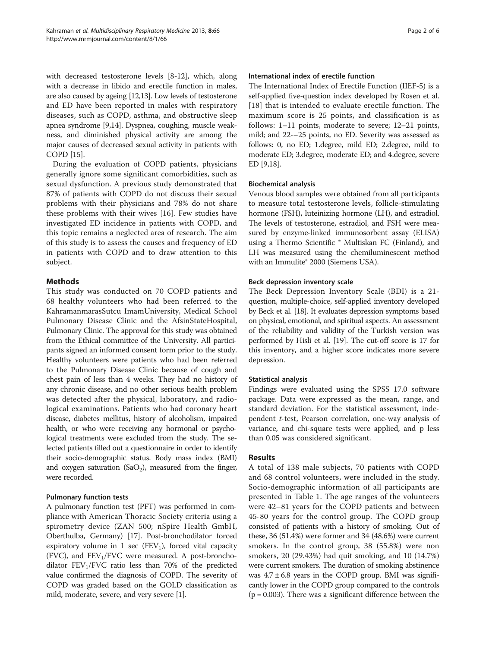with decreased testosterone levels [[8-12\]](#page-5-0), which, along with a decrease in libido and erectile function in males, are also caused by ageing [[12,13\]](#page-5-0). Low levels of testosterone and ED have been reported in males with respiratory diseases, such as COPD, asthma, and obstructive sleep apnea syndrome [\[9,14\]](#page-5-0). Dyspnea, coughing, muscle weakness, and diminished physical activity are among the major causes of decreased sexual activity in patients with COPD [\[15\]](#page-5-0).

During the evaluation of COPD patients, physicians generally ignore some significant comorbidities, such as sexual dysfunction. A previous study demonstrated that 87% of patients with COPD do not discuss their sexual problems with their physicians and 78% do not share these problems with their wives [\[16](#page-5-0)]. Few studies have investigated ED incidence in patients with COPD, and this topic remains a neglected area of research. The aim of this study is to assess the causes and frequency of ED in patients with COPD and to draw attention to this subject.

# Methods

This study was conducted on 70 COPD patients and 68 healthy volunteers who had been referred to the KahramanmarasSutcu ImamUniversity, Medical School Pulmonary Disease Clinic and the AfsinStateHospital, Pulmonary Clinic. The approval for this study was obtained from the Ethical committee of the University. All participants signed an informed consent form prior to the study. Healthy volunteers were patients who had been referred to the Pulmonary Disease Clinic because of cough and chest pain of less than 4 weeks. They had no history of any chronic disease, and no other serious health problem was detected after the physical, laboratory, and radiological examinations. Patients who had coronary heart disease, diabetes mellitus, history of alcoholism, impaired health, or who were receiving any hormonal or psychological treatments were excluded from the study. The selected patients filled out a questionnaire in order to identify their socio-demographic status. Body mass index (BMI) and oxygen saturation  $(SaO<sub>2</sub>)$ , measured from the finger, were recorded.

# Pulmonary function tests

A pulmonary function test (PFT) was performed in compliance with American Thoracic Society criteria using a spirometry device (ZAN 500; nSpire Health GmbH, Oberthulba, Germany) [\[17\]](#page-5-0). Post-bronchodilator forced expiratory volume in 1 sec ( $FEV<sub>1</sub>$ ), forced vital capacity  $(FVC)$ , and  $FEV<sub>1</sub>/FVC$  were measured. A post-bronchodilator  $FEV<sub>1</sub>/FVC$  ratio less than 70% of the predicted value confirmed the diagnosis of COPD. The severity of COPD was graded based on the GOLD classification as mild, moderate, severe, and very severe [[1](#page-4-0)].

#### International index of erectile function

The International Index of Erectile Function (IIEF-5) is a self-applied five-question index developed by Rosen et al. [[18](#page-5-0)] that is intended to evaluate erectile function. The maximum score is 25 points, and classification is as follows: 1–11 points, moderate to severe; 12–21 points, mild; and 22-–25 points, no ED. Severity was assessed as follows: 0, no ED; 1.degree, mild ED; 2.degree, mild to moderate ED; 3.degree, moderate ED; and 4.degree, severe ED [\[9,18](#page-5-0)].

# Biochemical analysis

Venous blood samples were obtained from all participants to measure total testosterone levels, follicle-stimulating hormone (FSH), luteinizing hormone (LH), and estradiol. The levels of testosterone, estradiol, and FSH were measured by enzyme-linked immunosorbent assay (ELISA) using a Thermo Scientific ® Multiskan FC (Finland), and LH was measured using the chemiluminescent method with an Immulite® 2000 (Siemens USA).

# Beck depression inventory scale

The Beck Depression Inventory Scale (BDI) is a 21 question, multiple-choice, self-applied inventory developed by Beck et al. [[18\]](#page-5-0). It evaluates depression symptoms based on physical, emotional, and spiritual aspects. An assessment of the reliability and validity of the Turkish version was performed by Hisli et al. [[19](#page-5-0)]. The cut-off score is 17 for this inventory, and a higher score indicates more severe depression.

# Statistical analysis

Findings were evaluated using the SPSS 17.0 software package. Data were expressed as the mean, range, and standard deviation. For the statistical assessment, independent t-test, Pearson correlation, one-way analysis of variance, and chi-square tests were applied, and p less than 0.05 was considered significant.

# Results

A total of 138 male subjects, 70 patients with COPD and 68 control volunteers, were included in the study. Socio-demographic information of all participants are presented in Table [1](#page-2-0). The age ranges of the volunteers were 42–81 years for the COPD patients and between 45-80 years for the control group. The COPD group consisted of patients with a history of smoking. Out of these, 36 (51.4%) were former and 34 (48.6%) were current smokers. In the control group, 38 (55.8%) were non smokers, 20 (29.43%) had quit smoking, and 10 (14.7%) were current smokers. The duration of smoking abstinence was  $4.7 \pm 6.8$  years in the COPD group. BMI was significantly lower in the COPD group compared to the controls  $(p = 0.003)$ . There was a significant difference between the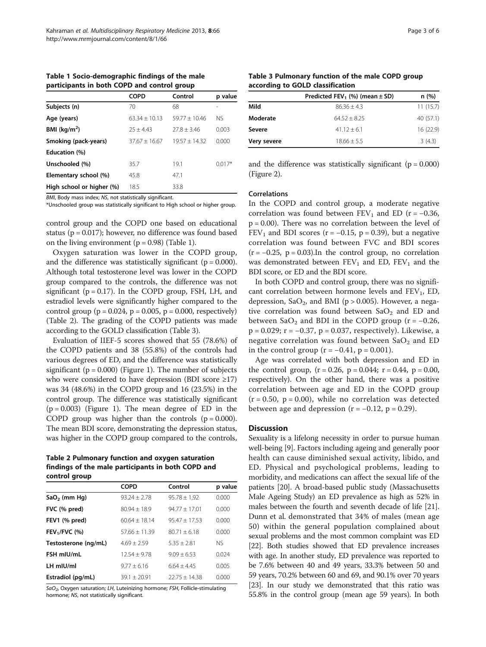<span id="page-2-0"></span>Table 1 Socio-demographic findings of the male participants in both COPD and control group

|                           | <b>COPD</b>     | Control         | p value  |
|---------------------------|-----------------|-----------------|----------|
| Subjects (n)              | 70              | 68              |          |
| Age (years)               | $63.34 + 10.13$ | $59.77 + 10.46$ | NS.      |
| BMI $(kq/m2)$             | $25 + 4.43$     | $77.8 + 3.46$   | 0.003    |
| Smoking (pack-years)      | $37.67 + 16.67$ | $19.57 + 14.32$ | 0.000    |
| Education (%)             |                 |                 |          |
| Unschooled (%)            | 35.7            | 19.1            | $0.017*$ |
| Elementary school (%)     | 45.8            | 47.1            |          |
| High school or higher (%) | 18.5            | 33.8            |          |

BMI, Body mass index; NS, not statistically significant.

\*Unschooled group was statistically significant to High school or higher group.

control group and the COPD one based on educational status ( $p = 0.017$ ); however, no difference was found based on the living environment  $(p = 0.98)$  (Table 1).

Oxygen saturation was lower in the COPD group, and the difference was statistically significant ( $p = 0.000$ ). Although total testosterone level was lower in the COPD group compared to the controls, the difference was not significant ( $p = 0.17$ ). In the COPD group, FSH, LH, and estradiol levels were significantly higher compared to the control group ( $p = 0.024$ ,  $p = 0.005$ ,  $p = 0.000$ , respectively) (Table 2). The grading of the COPD patients was made according to the GOLD classification (Table 3).

Evaluation of IIEF-5 scores showed that 55 (78.6%) of the COPD patients and 38 (55.8%) of the controls had various degrees of ED, and the difference was statistically significant ( $p = 0.000$ ) (Figure [1](#page-3-0)). The number of subjects who were considered to have depression (BDI score ≥17) was 34 (48.6%) in the COPD group and 16 (23.5%) in the control group. The difference was statistically significant  $(p = 0.003)$  (Figure [1\)](#page-3-0). The mean degree of ED in the COPD group was higher than the controls  $(p = 0.000)$ . The mean BDI score, demonstrating the depression status, was higher in the COPD group compared to the controls,

Table 2 Pulmonary function and oxygen saturation findings of the male participants in both COPD and control group

|                      | <b>COPD</b>     | Control          | p value |
|----------------------|-----------------|------------------|---------|
| $SaO2$ (mm Hg)       | $93.24 + 2.78$  | $95.78 \pm 1.92$ | 0.000   |
| FVC (% pred)         | $80.94 + 18.9$  | $94.77 + 17.01$  | 0.000   |
| FEV1 (% pred)        | $60.64 + 18.14$ | $95.47 + 17.53$  | 0.000   |
| $FEV1/FVC$ (%)       | $57.66 + 11.39$ | $80.71 + 6.18$   | 0.000   |
| Testosterone (ng/mL) | $4.69 + 2.59$   | $5.35 + 2.81$    | NS.     |
| FSH mIU/mL           | $12.54 + 9.78$  | $9.09 + 6.53$    | 0.024   |
| LH mIU/ml            | $9.77 \pm 6.16$ | $6.64 + 4.45$    | 0.005   |
| Estradiol (pg/mL)    | $39.1 + 20.91$  | $22.75 + 14.38$  | 0.000   |

SaO<sub>2</sub>, Oxygen saturation; LH, Luteinizing hormone; FSH, Follicle-stimulating hormone; NS, not statistically significant.

Table 3 Pulmonary function of the male COPD group according to GOLD classification

|             | Predicted FEV <sub>1</sub> (%) (mean $\pm$ SD) | n(%)        |
|-------------|------------------------------------------------|-------------|
| Mild        | $86.36 + 4.3$                                  | 11(15.7)    |
| Moderate    | $64.52 + 8.25$                                 | 40 $(57.1)$ |
| Severe      | $41.12 + 6.1$                                  | 16 (22.9)   |
| Very severe | $18.66 \pm 5.5$                                | 3(4.3)      |
|             |                                                |             |

and the difference was statistically significant  $(p = 0.000)$ (Figure [2](#page-3-0)).

#### Correlations

In the COPD and control group, a moderate negative correlation was found between  $FEV_1$  and  $ED$  (r = -0.36,  $p = 0.00$ ). There was no correlation between the level of FEV<sub>1</sub> and BDI scores ( $r = -0.15$ ,  $p = 0.39$ ), but a negative correlation was found between FVC and BDI scores  $(r = -0.25, p = 0.03)$ . In the control group, no correlation was demonstrated between  $FEV<sub>1</sub>$  and ED,  $FEV<sub>1</sub>$  and the BDI score, or ED and the BDI score.

In both COPD and control group, there was no significant correlation between hormone levels and  $FEV<sub>1</sub>$ ,  $ED$ , depression, SaO<sub>2</sub>, and BMI ( $p > 0.005$ ). However, a negative correlation was found between  $SaO<sub>2</sub>$  and ED and between SaO<sub>2</sub> and BDI in the COPD group ( $r = -0.26$ , p = 0.029; r = −0.37, p = 0.037, respectively). Likewise, a negative correlation was found between  $SaO<sub>2</sub>$  and ED in the control group  $(r = -0.41, p = 0.001)$ .

Age was correlated with both depression and ED in the control group,  $(r = 0.26, p = 0.044; r = 0.44, p = 0.00,$ respectively). On the other hand, there was a positive correlation between age and ED in the COPD group  $(r = 0.50, p = 0.00)$ , while no correlation was detected between age and depression  $(r = -0.12, p = 0.29)$ .

#### Discussion

Sexuality is a lifelong necessity in order to pursue human well-being [[9](#page-5-0)]. Factors including ageing and generally poor health can cause diminished sexual activity, libido, and ED. Physical and psychological problems, leading to morbidity, and medications can affect the sexual life of the patients [[20\]](#page-5-0). A broad-based public study (Massachusetts Male Ageing Study) an ED prevalence as high as 52% in males between the fourth and seventh decade of life [[21](#page-5-0)]. Dunn et al. demonstrated that 34% of males (mean age 50) within the general population complained about sexual problems and the most common complaint was ED [[22](#page-5-0)]. Both studies showed that ED prevalence increases with age. In another study, ED prevalence was reported to be 7.6% between 40 and 49 years, 33.3% between 50 and 59 years, 70.2% between 60 and 69, and 90.1% over 70 years [[23](#page-5-0)]. In our study we demonstrated that this ratio was 55.8% in the control group (mean age 59 years). In both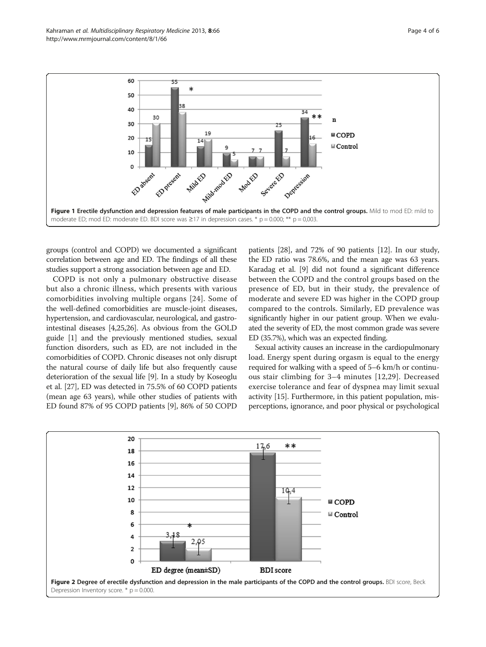<span id="page-3-0"></span>

groups (control and COPD) we documented a significant correlation between age and ED. The findings of all these studies support a strong association between age and ED.

COPD is not only a pulmonary obstructive disease but also a chronic illness, which presents with various comorbidities involving multiple organs [[24\]](#page-5-0). Some of the well-defined comorbidities are muscle-joint diseases, hypertension, and cardiovascular, neurological, and gastrointestinal diseases [\[4,25,26](#page-5-0)]. As obvious from the GOLD guide [[1](#page-4-0)] and the previously mentioned studies, sexual function disorders, such as ED, are not included in the comorbidities of COPD. Chronic diseases not only disrupt the natural course of daily life but also frequently cause deterioration of the sexual life [\[9](#page-5-0)]. In a study by Koseoglu et al. [[27](#page-5-0)], ED was detected in 75.5% of 60 COPD patients (mean age 63 years), while other studies of patients with ED found 87% of 95 COPD patients [\[9](#page-5-0)], 86% of 50 COPD

patients [\[28\]](#page-5-0), and 72% of 90 patients [[12](#page-5-0)]. In our study, the ED ratio was 78.6%, and the mean age was 63 years. Karadag et al. [\[9\]](#page-5-0) did not found a significant difference between the COPD and the control groups based on the presence of ED, but in their study, the prevalence of moderate and severe ED was higher in the COPD group compared to the controls. Similarly, ED prevalence was significantly higher in our patient group. When we evaluated the severity of ED, the most common grade was severe ED (35.7%), which was an expected finding.

Sexual activity causes an increase in the cardiopulmonary load. Energy spent during orgasm is equal to the energy required for walking with a speed of 5–6 km/h or continuous stair climbing for 3–4 minutes [[12,29\]](#page-5-0). Decreased exercise tolerance and fear of dyspnea may limit sexual activity [\[15\]](#page-5-0). Furthermore, in this patient population, misperceptions, ignorance, and poor physical or psychological

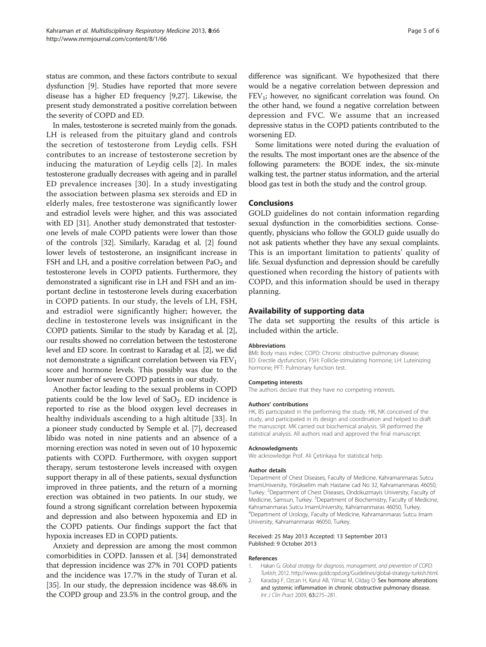<span id="page-4-0"></span>status are common, and these factors contribute to sexual dysfunction [[9\]](#page-5-0). Studies have reported that more severe disease has a higher ED frequency [[9,27](#page-5-0)]. Likewise, the present study demonstrated a positive correlation between the severity of COPD and ED.

In males, testosterone is secreted mainly from the gonads. LH is released from the pituitary gland and controls the secretion of testosterone from Leydig cells. FSH contributes to an increase of testosterone secretion by inducing the maturation of Leydig cells [2]. In males testosterone gradually decreases with ageing and in parallel ED prevalence increases [[30\]](#page-5-0). In a study investigating the association between plasma sex steroids and ED in elderly males, free testosterone was significantly lower and estradiol levels were higher, and this was associated with ED [\[31](#page-5-0)]. Another study demonstrated that testosterone levels of male COPD patients were lower than those of the controls [[32\]](#page-5-0). Similarly, Karadag et al. [2] found lower levels of testosterone, an insignificant increase in FSH and LH, and a positive correlation between  $PaO<sub>2</sub>$  and testosterone levels in COPD patients. Furthermore, they demonstrated a significant rise in LH and FSH and an important decline in testosterone levels during exacerbation in COPD patients. In our study, the levels of LH, FSH, and estradiol were significantly higher; however, the decline in testosterone levels was insignificant in the COPD patients. Similar to the study by Karadag et al. [2], our results showed no correlation between the testosterone level and ED score. In contrast to Karadag et al. [2], we did not demonstrate a significant correlation between via  $FEV<sub>1</sub>$ score and hormone levels. This possibly was due to the lower number of severe COPD patients in our study.

Another factor leading to the sexual problems in COPD patients could be the low level of  $SaO<sub>2</sub>$ . ED incidence is reported to rise as the blood oxygen level decreases in healthy individuals ascending to a high altitude [[33\]](#page-5-0). In a pioneer study conducted by Semple et al. [\[7\]](#page-5-0), decreased libido was noted in nine patients and an absence of a morning erection was noted in seven out of 10 hypoxemic patients with COPD. Furthermore, with oxygen support therapy, serum testosterone levels increased with oxygen support therapy in all of these patients, sexual dysfunction improved in three patients, and the return of a morning erection was obtained in two patients. In our study, we found a strong significant correlation between hypoxemia and depression and also between hypoxemia and ED in the COPD patients. Our findings support the fact that hypoxia increases ED in COPD patients.

Anxiety and depression are among the most common comorbidities in COPD. Janssen et al. [\[34](#page-5-0)] demonstrated that depression incidence was 27% in 701 COPD patients and the incidence was 17.7% in the study of Turan et al. [[35](#page-5-0)]. In our study, the depression incidence was 48.6% in the COPD group and 23.5% in the control group, and the difference was significant. We hypothesized that there would be a negative correlation between depression and  $FEV<sub>1</sub>$ ; however, no significant correlation was found. On the other hand, we found a negative correlation between depression and FVC. We assume that an increased depressive status in the COPD patients contributed to the worsening ED.

Some limitations were noted during the evaluation of the results. The most important ones are the absence of the following parameters: the BODE index, the six-minute walking test, the partner status information, and the arterial blood gas test in both the study and the control group.

#### Conclusions

GOLD guidelines do not contain information regarding sexual dysfunction in the comorbidities sections. Consequently, physicians who follow the GOLD guide usually do not ask patients whether they have any sexual complaints. This is an important limitation to patients' quality of life. Sexual dysfunction and depression should be carefully questioned when recording the history of patients with COPD, and this information should be used in therapy planning.

# Availability of supporting data

The data set supporting the results of this article is included within the article.

#### Abbreviations

BMI: Body mass index; COPD: Chronic obstructive pulmonary disease; ED: Erectile dysfunction; FSH: Follicle-stimulating hormone; LH: Luteinizing hormone; PFT: Pulmonary function test.

#### Competing interests

The authors declare that they have no competing interests.

#### Authors' contributions

HK, BS participated in the performing the study. HK, NK conceived of the study, and participated in its design and coordination and helped to draft the manuscript. MK carried out biochemical analysis. SR performed the statistical analysis. All authors read and approved the final manuscript.

#### Acknowledgments

We acknowledge Prof. Ali Çetinkaya for statistical help.

#### Author details

<sup>1</sup>Department of Chest Diseases, Faculty of Medicine, Kahramanmaras Sutcu ImamUniversity, Yörükselim mah Hastane cad No 32, Kahramanmaras 46050, Turkey. <sup>2</sup>Department of Chest Diseases, Ondokuzmayis University, Faculty of Medicine, Samsun, Turkey. <sup>3</sup>Department of Biochemistry, Faculty of Medicine Kahramanmaras Sutcu ImamUniversity, Kahramanmaras 46050, Turkey. 4 Department of Urology, Faculty of Medicine, Kahramanmaras Sutcu Imam University, Kahramanmaras 46050, Turkey.

#### Received: 25 May 2013 Accepted: 13 September 2013 Published: 9 October 2013

#### References

- 1. Hakan G: Global strategy for diagnosis, management, and prevention of COPD: Turkish; 2012. [http://www.goldcopd.org/Guidelines/global-strategy-turkish.html.](http://www.goldcopd.org/Guidelines/global-strategy-turkish.html)
- 2. Karadag F, Ozcan H, Karul AB, Yilmaz M, Cildag O: Sex hormone alterations and systemic inflammation in chronic obstructive pulmonary disease. Int J Clin Pract 2009, 63:275–281.